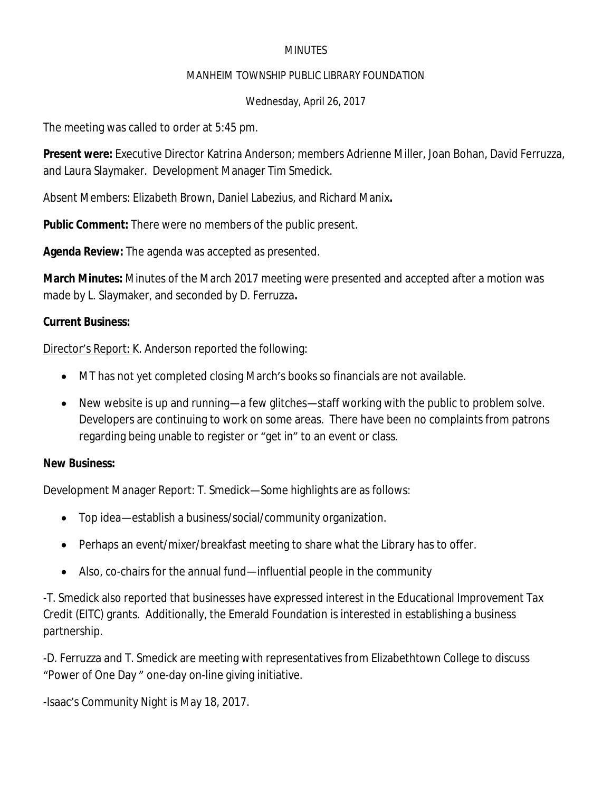## **MINUTES**

#### MANHEIM TOWNSHIP PUBLIC LIBRARY FOUNDATION

## Wednesday, April 26, 2017

The meeting was called to order at 5:45 pm.

**Present were:** Executive Director Katrina Anderson; members Adrienne Miller, Joan Bohan, David Ferruzza, and Laura Slaymaker. Development Manager Tim Smedick.

Absent Members: Elizabeth Brown, Daniel Labezius, and Richard Manix**.**

**Public Comment:** There were no members of the public present.

**Agenda Review:** The agenda was accepted as presented.

**March Minutes:** Minutes of the March 2017 meeting were presented and accepted after a motion was made by L. Slaymaker, and seconded by D. Ferruzza**.**

# **Current Business:**

Director's Report: K. Anderson reported the following:

- MT has not yet completed closing March's books so financials are not available.
- New website is up and running—a few glitches—staff working with the public to problem solve. Developers are continuing to work on some areas. There have been no complaints from patrons regarding being unable to register or "get in" to an event or class.

## **New Business:**

Development Manager Report: T. Smedick—Some highlights are as follows:

- Top idea—establish a business/social/community organization.
- Perhaps an event/mixer/breakfast meeting to share what the Library has to offer.
- Also, co-chairs for the annual fund—influential people in the community

-T. Smedick also reported that businesses have expressed interest in the Educational Improvement Tax Credit (EITC) grants. Additionally, the Emerald Foundation is interested in establishing a business partnership.

-D. Ferruzza and T. Smedick are meeting with representatives from Elizabethtown College to discuss "Power of One Day " one-day on-line giving initiative.

-Isaac's Community Night is May 18, 2017.